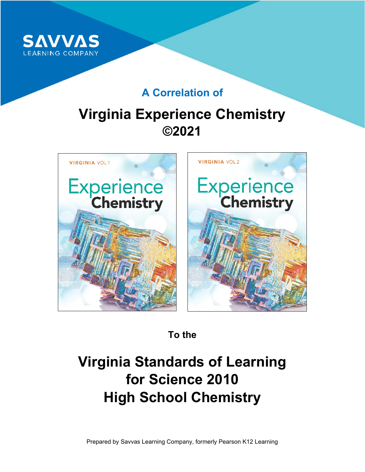

### **A Correlation of**

## **Virginia Experience Chemistry ©2021**



**To the**

# **Virginia Standards of Learning for Science 2010 High School Chemistry**

Prepared by Savvas Learning Company, formerly Pearson K12 Learning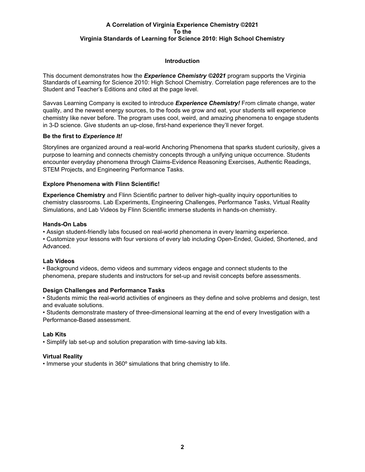#### **Introduction**

This document demonstrates how the *Experience Chemistry ©2021* program supports the Virginia Standards of Learning for Science 2010: High School Chemistry. Correlation page references are to the Student and Teacher's Editions and cited at the page level.

Savvas Learning Company is excited to introduce *Experience Chemistry!* From climate change, water quality, and the newest energy sources, to the foods we grow and eat, your students will experience chemistry like never before. The program uses cool, weird, and amazing phenomena to engage students in 3-D science. Give students an up-close, first-hand experience they'll never forget.

#### **Be the first to** *Experience It!*

Storylines are organized around a real-world Anchoring Phenomena that sparks student curiosity, gives a purpose to learning and connects chemistry concepts through a unifying unique occurrence. Students encounter everyday phenomena through Claims-Evidence Reasoning Exercises, Authentic Readings, STEM Projects, and Engineering Performance Tasks.

#### **Explore Phenomena with Flinn Scientific!**

**Experience Chemistry** and Flinn Scientific partner to deliver high-quality inquiry opportunities to chemistry classrooms. Lab Experiments, Engineering Challenges, Performance Tasks, Virtual Reality Simulations, and Lab Videos by Flinn Scientific immerse students in hands-on chemistry.

#### **Hands-On Labs**

• Assign student-friendly labs focused on real-world phenomena in every learning experience.

• Customize your lessons with four versions of every lab including Open-Ended, Guided, Shortened, and Advanced.

#### **Lab Videos**

• Background videos, demo videos and summary videos engage and connect students to the phenomena, prepare students and instructors for set-up and revisit concepts before assessments.

#### **Design Challenges and Performance Tasks**

• Students mimic the real-world activities of engineers as they define and solve problems and design, test and evaluate solutions.

• Students demonstrate mastery of three-dimensional learning at the end of every Investigation with a Performance-Based assessment.

#### **Lab Kits**

• Simplify lab set-up and solution preparation with time-saving lab kits.

#### **Virtual Reality**

• Immerse your students in 360º simulations that bring chemistry to life.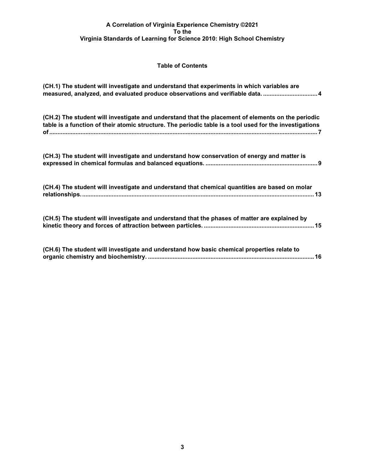#### **Table of Contents**

| (CH.1) The student will investigate and understand that experiments in which variables are                                                                                                                   |
|--------------------------------------------------------------------------------------------------------------------------------------------------------------------------------------------------------------|
| (CH.2) The student will investigate and understand that the placement of elements on the periodic<br>table is a function of their atomic structure. The periodic table is a tool used for the investigations |
| (CH.3) The student will investigate and understand how conservation of energy and matter is                                                                                                                  |
| (CH.4) The student will investigate and understand that chemical quantities are based on molar                                                                                                               |
| (CH.5) The student will investigate and understand that the phases of matter are explained by                                                                                                                |
| (CH.6) The student will investigate and understand how basic chemical properties relate to                                                                                                                   |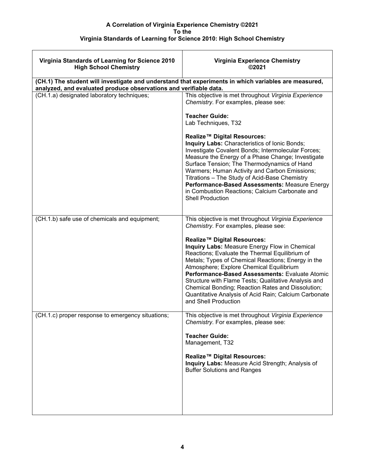| Virginia Standards of Learning for Science 2010<br><b>High School Chemistry</b>                                                                                           | <b>Virginia Experience Chemistry</b><br>©2021                                                                                                                                                                                                                                                                                                                                                                                                                                                                                                                                                                                      |
|---------------------------------------------------------------------------------------------------------------------------------------------------------------------------|------------------------------------------------------------------------------------------------------------------------------------------------------------------------------------------------------------------------------------------------------------------------------------------------------------------------------------------------------------------------------------------------------------------------------------------------------------------------------------------------------------------------------------------------------------------------------------------------------------------------------------|
| (CH.1) The student will investigate and understand that experiments in which variables are measured,<br>analyzed, and evaluated produce observations and verifiable data. |                                                                                                                                                                                                                                                                                                                                                                                                                                                                                                                                                                                                                                    |
| (CH.1.a) designated laboratory techniques;                                                                                                                                | This objective is met throughout Virginia Experience<br>Chemistry. For examples, please see:<br><b>Teacher Guide:</b><br>Lab Techniques, T32<br>Realize <sup>™</sup> Digital Resources:<br>Inquiry Labs: Characteristics of Ionic Bonds;<br>Investigate Covalent Bonds; Intermolecular Forces;<br>Measure the Energy of a Phase Change; Investigate<br>Surface Tension; The Thermodynamics of Hand<br>Warmers; Human Activity and Carbon Emissions;<br>Titrations - The Study of Acid-Base Chemistry<br>Performance-Based Assessments: Measure Energy<br>in Combustion Reactions; Calcium Carbonate and<br><b>Shell Production</b> |
| (CH.1.b) safe use of chemicals and equipment;                                                                                                                             | This objective is met throughout Virginia Experience<br>Chemistry. For examples, please see:<br>Realize™ Digital Resources:<br>Inquiry Labs: Measure Energy Flow in Chemical<br>Reactions; Evaluate the Thermal Equilibrium of<br>Metals; Types of Chemical Reactions; Energy in the<br>Atmosphere; Explore Chemical Equilibrium<br>Performance-Based Assessments: Evaluate Atomic<br>Structure with Flame Tests; Qualitative Analysis and<br>Chemical Bonding; Reaction Rates and Dissolution;<br>Quantitative Analysis of Acid Rain; Calcium Carbonate<br>and Shell Production                                                   |
| (CH.1.c) proper response to emergency situations;                                                                                                                         | This objective is met throughout Virginia Experience<br>Chemistry. For examples, please see:<br><b>Teacher Guide:</b><br>Management, T32<br>Realize <sup>™</sup> Digital Resources:<br>Inquiry Labs: Measure Acid Strength; Analysis of<br><b>Buffer Solutions and Ranges</b>                                                                                                                                                                                                                                                                                                                                                      |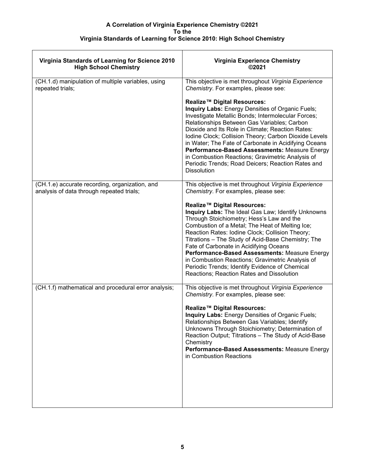| Virginia Standards of Learning for Science 2010<br><b>High School Chemistry</b>             | <b>Virginia Experience Chemistry</b><br>©2021                                                                                                                                                                                                                                                                                                                                                                                                                                                                                                        |
|---------------------------------------------------------------------------------------------|------------------------------------------------------------------------------------------------------------------------------------------------------------------------------------------------------------------------------------------------------------------------------------------------------------------------------------------------------------------------------------------------------------------------------------------------------------------------------------------------------------------------------------------------------|
| (CH.1.d) manipulation of multiple variables, using<br>repeated trials;                      | This objective is met throughout Virginia Experience<br>Chemistry. For examples, please see:                                                                                                                                                                                                                                                                                                                                                                                                                                                         |
|                                                                                             | Realize™ Digital Resources:<br>Inquiry Labs: Energy Densities of Organic Fuels;<br>Investigate Metallic Bonds; Intermolecular Forces;<br>Relationships Between Gas Variables; Carbon<br>Dioxide and Its Role in Climate; Reaction Rates:<br>Iodine Clock; Collision Theory; Carbon Dioxide Levels<br>in Water; The Fate of Carbonate in Acidifying Oceans<br>Performance-Based Assessments: Measure Energy<br>in Combustion Reactions; Gravimetric Analysis of<br>Periodic Trends; Road Deicers; Reaction Rates and<br><b>Dissolution</b>            |
| (CH.1.e) accurate recording, organization, and<br>analysis of data through repeated trials; | This objective is met throughout Virginia Experience<br>Chemistry. For examples, please see:                                                                                                                                                                                                                                                                                                                                                                                                                                                         |
|                                                                                             | Realize <sup>™</sup> Digital Resources:<br>Inquiry Labs: The Ideal Gas Law; Identify Unknowns<br>Through Stoichiometry; Hess's Law and the<br>Combustion of a Metal; The Heat of Melting Ice;<br>Reaction Rates: Iodine Clock; Collision Theory;<br>Titrations - The Study of Acid-Base Chemistry; The<br>Fate of Carbonate in Acidifying Oceans<br>Performance-Based Assessments: Measure Energy<br>in Combustion Reactions; Gravimetric Analysis of<br>Periodic Trends; Identify Evidence of Chemical<br>Reactions; Reaction Rates and Dissolution |
| (CH.1.f) mathematical and procedural error analysis;                                        | This objective is met throughout Virginia Experience<br>Chemistry. For examples, please see:                                                                                                                                                                                                                                                                                                                                                                                                                                                         |
|                                                                                             | Realize <sup>™</sup> Digital Resources:<br>Inquiry Labs: Energy Densities of Organic Fuels;<br>Relationships Between Gas Variables; Identify<br>Unknowns Through Stoichiometry; Determination of<br>Reaction Output; Titrations - The Study of Acid-Base<br>Chemistry<br>Performance-Based Assessments: Measure Energy<br>in Combustion Reactions                                                                                                                                                                                                    |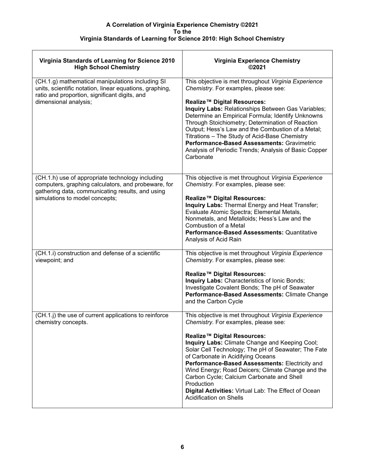| Virginia Standards of Learning for Science 2010<br><b>High School Chemistry</b>                                                                              | <b>Virginia Experience Chemistry</b><br>©2021                                                                                                                                                                                                                                                                                                                                                                                         |
|--------------------------------------------------------------------------------------------------------------------------------------------------------------|---------------------------------------------------------------------------------------------------------------------------------------------------------------------------------------------------------------------------------------------------------------------------------------------------------------------------------------------------------------------------------------------------------------------------------------|
| (CH.1.g) mathematical manipulations including SI<br>units, scientific notation, linear equations, graphing,<br>ratio and proportion, significant digits, and | This objective is met throughout Virginia Experience<br>Chemistry. For examples, please see:                                                                                                                                                                                                                                                                                                                                          |
| dimensional analysis;                                                                                                                                        | Realize <sup>™</sup> Digital Resources:<br>Inquiry Labs: Relationships Between Gas Variables;<br>Determine an Empirical Formula; Identify Unknowns<br>Through Stoichiometry; Determination of Reaction<br>Output; Hess's Law and the Combustion of a Metal;<br>Titrations - The Study of Acid-Base Chemistry<br>Performance-Based Assessments: Gravimetric<br>Analysis of Periodic Trends; Analysis of Basic Copper<br>Carbonate      |
| (CH.1.h) use of appropriate technology including<br>computers, graphing calculators, and probeware, for                                                      | This objective is met throughout Virginia Experience<br>Chemistry. For examples, please see:                                                                                                                                                                                                                                                                                                                                          |
| gathering data, communicating results, and using<br>simulations to model concepts;                                                                           | Realize™ Digital Resources:<br>Inquiry Labs: Thermal Energy and Heat Transfer;<br>Evaluate Atomic Spectra; Elemental Metals,<br>Nonmetals, and Metalloids; Hess's Law and the<br>Combustion of a Metal<br><b>Performance-Based Assessments: Quantitative</b><br>Analysis of Acid Rain                                                                                                                                                 |
| (CH.1.i) construction and defense of a scientific<br>viewpoint; and                                                                                          | This objective is met throughout Virginia Experience<br>Chemistry. For examples, please see:                                                                                                                                                                                                                                                                                                                                          |
|                                                                                                                                                              | Realize™ Digital Resources:<br>Inquiry Labs: Characteristics of Ionic Bonds;<br>Investigate Covalent Bonds; The pH of Seawater<br>Performance-Based Assessments: Climate Change<br>and the Carbon Cycle                                                                                                                                                                                                                               |
| (CH.1.j) the use of current applications to reinforce<br>chemistry concepts.                                                                                 | This objective is met throughout Virginia Experience<br>Chemistry. For examples, please see:                                                                                                                                                                                                                                                                                                                                          |
|                                                                                                                                                              | Realize™ Digital Resources:<br>Inquiry Labs: Climate Change and Keeping Cool;<br>Solar Cell Technology; The pH of Seawater; The Fate<br>of Carbonate in Acidifying Oceans<br>Performance-Based Assessments: Electricity and<br>Wind Energy; Road Deicers; Climate Change and the<br>Carbon Cycle; Calcium Carbonate and Shell<br>Production<br>Digital Activities: Virtual Lab: The Effect of Ocean<br><b>Acidification on Shells</b> |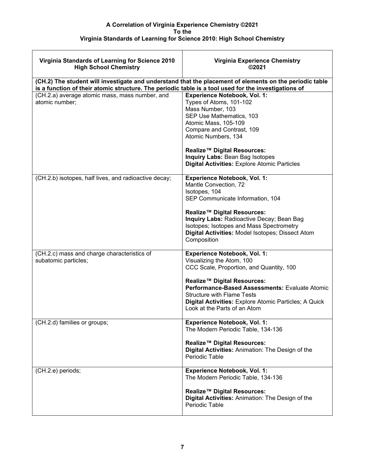| Virginia Standards of Learning for Science 2010<br><b>High School Chemistry</b>                      | <b>Virginia Experience Chemistry</b><br>©2021                                                                                                                                                                                                                                                                                   |
|------------------------------------------------------------------------------------------------------|---------------------------------------------------------------------------------------------------------------------------------------------------------------------------------------------------------------------------------------------------------------------------------------------------------------------------------|
| is a function of their atomic structure. The periodic table is a tool used for the investigations of | (CH.2) The student will investigate and understand that the placement of elements on the periodic table                                                                                                                                                                                                                         |
| (CH.2.a) average atomic mass, mass number, and<br>atomic number:                                     | <b>Experience Notebook, Vol. 1:</b><br>Types of Atoms, 101-102<br>Mass Number, 103<br>SEP Use Mathematics, 103<br>Atomic Mass, 105-109<br>Compare and Contrast, 109<br>Atomic Numbers, 134<br>Realize <sup>™</sup> Digital Resources:<br>Inquiry Labs: Bean Bag Isotopes<br><b>Digital Activities: Explore Atomic Particles</b> |
| (CH.2.b) isotopes, half lives, and radioactive decay;                                                | <b>Experience Notebook, Vol. 1:</b><br>Mantle Convection, 72<br>Isotopes, 104<br>SEP Communicate Information, 104<br>Realize <sup>™</sup> Digital Resources:<br>Inquiry Labs: Radioactive Decay; Bean Bag<br>Isotopes; Isotopes and Mass Spectrometry<br>Digital Activities: Model Isotopes; Dissect Atom<br>Composition        |
| (CH.2.c) mass and charge characteristics of<br>subatomic particles;                                  | <b>Experience Notebook, Vol. 1:</b><br>Visualizing the Atom, 100<br>CCC Scale, Proportion, and Quantity, 100<br>Realize™ Digital Resources:<br>Performance-Based Assessments: Evaluate Atomic<br><b>Structure with Flame Tests</b><br>Digital Activities: Explore Atomic Particles; A Quick<br>Look at the Parts of an Atom     |
| (CH.2.d) families or groups;                                                                         | <b>Experience Notebook, Vol. 1:</b><br>The Modern Periodic Table, 134-136<br>Realize <sup>™</sup> Digital Resources:<br>Digital Activities: Animation: The Design of the<br>Periodic Table                                                                                                                                      |
| (CH.2.e) periods;                                                                                    | <b>Experience Notebook, Vol. 1:</b><br>The Modern Periodic Table, 134-136<br>Realize <sup>™</sup> Digital Resources:<br>Digital Activities: Animation: The Design of the<br>Periodic Table                                                                                                                                      |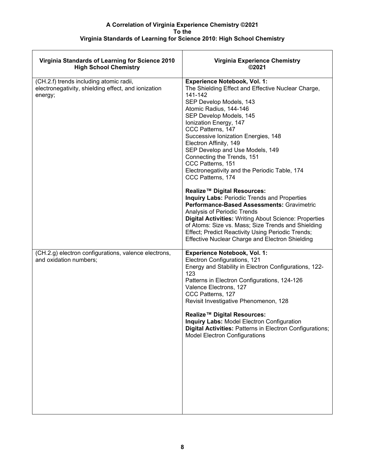| Virginia Standards of Learning for Science 2010<br><b>High School Chemistry</b>                           | <b>Virginia Experience Chemistry</b><br>©2021                                                                                                                                                                                                                                                                                                                                                                                                                                                               |
|-----------------------------------------------------------------------------------------------------------|-------------------------------------------------------------------------------------------------------------------------------------------------------------------------------------------------------------------------------------------------------------------------------------------------------------------------------------------------------------------------------------------------------------------------------------------------------------------------------------------------------------|
| (CH.2.f) trends including atomic radii,<br>electronegativity, shielding effect, and ionization<br>energy; | <b>Experience Notebook, Vol. 1:</b><br>The Shielding Effect and Effective Nuclear Charge,<br>141-142<br>SEP Develop Models, 143<br>Atomic Radius, 144-146<br>SEP Develop Models, 145<br>Ionization Energy, 147<br>CCC Patterns, 147<br>Successive Ionization Energies, 148<br>Electron Affinity, 149<br>SEP Develop and Use Models, 149<br>Connecting the Trends, 151<br>CCC Patterns, 151<br>Electronegativity and the Periodic Table, 174<br>CCC Patterns, 174<br>Realize <sup>™</sup> Digital Resources: |
|                                                                                                           | <b>Inquiry Labs: Periodic Trends and Properties</b><br>Performance-Based Assessments: Gravimetric<br>Analysis of Periodic Trends<br>Digital Activities: Writing About Science: Properties<br>of Atoms: Size vs. Mass; Size Trends and Shielding<br>Effect; Predict Reactivity Using Periodic Trends;<br><b>Effective Nuclear Charge and Electron Shielding</b>                                                                                                                                              |
| (CH.2.g) electron configurations, valence electrons,<br>and oxidation numbers;                            | <b>Experience Notebook, Vol. 1:</b><br>Electron Configurations, 121<br>Energy and Stability in Electron Configurations, 122-<br>123<br>Patterns in Electron Configurations, 124-126<br>Valence Electrons, 127<br>CCC Patterns, 127<br>Revisit Investigative Phenomenon, 128<br>Realize™ Digital Resources:<br><b>Inquiry Labs: Model Electron Configuration</b><br>Digital Activities: Patterns in Electron Configurations;<br><b>Model Electron Configurations</b>                                         |
|                                                                                                           |                                                                                                                                                                                                                                                                                                                                                                                                                                                                                                             |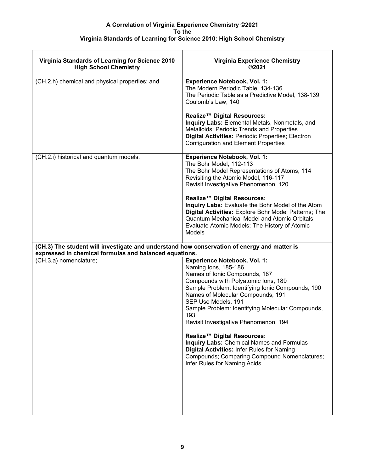| Virginia Standards of Learning for Science 2010<br><b>High School Chemistry</b>             | <b>Virginia Experience Chemistry</b><br>©2021                                                                                                                                                                                                                                                                                                                                                                                                                                                                                                                                        |
|---------------------------------------------------------------------------------------------|--------------------------------------------------------------------------------------------------------------------------------------------------------------------------------------------------------------------------------------------------------------------------------------------------------------------------------------------------------------------------------------------------------------------------------------------------------------------------------------------------------------------------------------------------------------------------------------|
| (CH.2.h) chemical and physical properties; and                                              | <b>Experience Notebook, Vol. 1:</b><br>The Modern Periodic Table, 134-136<br>The Periodic Table as a Predictive Model, 138-139<br>Coulomb's Law, 140                                                                                                                                                                                                                                                                                                                                                                                                                                 |
|                                                                                             | Realize™ Digital Resources:<br>Inquiry Labs: Elemental Metals, Nonmetals, and<br>Metalloids; Periodic Trends and Properties<br>Digital Activities: Periodic Properties; Electron<br><b>Configuration and Element Properties</b>                                                                                                                                                                                                                                                                                                                                                      |
| (CH.2.i) historical and quantum models.                                                     | <b>Experience Notebook, Vol. 1:</b><br>The Bohr Model, 112-113<br>The Bohr Model Representations of Atoms, 114<br>Revisiting the Atomic Model, 116-117<br>Revisit Investigative Phenomenon, 120<br>Realize™ Digital Resources:<br>Inquiry Labs: Evaluate the Bohr Model of the Atom<br>Digital Activities: Explore Bohr Model Patterns; The<br>Quantum Mechanical Model and Atomic Orbitals;<br>Evaluate Atomic Models; The History of Atomic<br><b>Models</b>                                                                                                                       |
| (CH.3) The student will investigate and understand how conservation of energy and matter is |                                                                                                                                                                                                                                                                                                                                                                                                                                                                                                                                                                                      |
| expressed in chemical formulas and balanced equations.<br>(CH.3.a) nomenclature;            | <b>Experience Notebook, Vol. 1:</b><br>Naming Ions, 185-186<br>Names of Ionic Compounds, 187<br>Compounds with Polyatomic Ions, 189<br>Sample Problem: Identifying Ionic Compounds, 190<br>Names of Molecular Compounds, 191<br>SEP Use Models, 191<br>Sample Problem: Identifying Molecular Compounds,<br>193<br>Revisit Investigative Phenomenon, 194<br>Realize <sup>™</sup> Digital Resources:<br>Inquiry Labs: Chemical Names and Formulas<br><b>Digital Activities: Infer Rules for Naming</b><br>Compounds; Comparing Compound Nomenclatures;<br>Infer Rules for Naming Acids |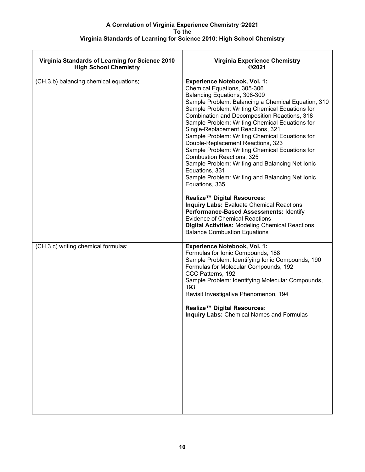| Virginia Standards of Learning for Science 2010<br><b>High School Chemistry</b> | <b>Virginia Experience Chemistry</b><br>©2021                                                                                                                                                                                                                                                                                                                                                                                                                                                                                                                                                                                                                                                           |
|---------------------------------------------------------------------------------|---------------------------------------------------------------------------------------------------------------------------------------------------------------------------------------------------------------------------------------------------------------------------------------------------------------------------------------------------------------------------------------------------------------------------------------------------------------------------------------------------------------------------------------------------------------------------------------------------------------------------------------------------------------------------------------------------------|
| (CH.3.b) balancing chemical equations;                                          | <b>Experience Notebook, Vol. 1:</b><br>Chemical Equations, 305-306<br>Balancing Equations, 308-309<br>Sample Problem: Balancing a Chemical Equation, 310<br>Sample Problem: Writing Chemical Equations for<br>Combination and Decomposition Reactions, 318<br>Sample Problem: Writing Chemical Equations for<br>Single-Replacement Reactions, 321<br>Sample Problem: Writing Chemical Equations for<br>Double-Replacement Reactions, 323<br>Sample Problem: Writing Chemical Equations for<br><b>Combustion Reactions, 325</b><br>Sample Problem: Writing and Balancing Net Ionic<br>Equations, 331<br>Sample Problem: Writing and Balancing Net Ionic<br>Equations, 335<br>Realize™ Digital Resources: |
|                                                                                 | <b>Inquiry Labs: Evaluate Chemical Reactions</b><br>Performance-Based Assessments: Identify<br><b>Evidence of Chemical Reactions</b><br><b>Digital Activities: Modeling Chemical Reactions;</b><br><b>Balance Combustion Equations</b>                                                                                                                                                                                                                                                                                                                                                                                                                                                                  |
| (CH.3.c) writing chemical formulas;                                             | <b>Experience Notebook, Vol. 1:</b><br>Formulas for Ionic Compounds, 188<br>Sample Problem: Identifying Ionic Compounds, 190<br>Formulas for Molecular Compounds, 192<br>CCC Patterns, 192<br>Sample Problem: Identifying Molecular Compounds,<br>193<br>Revisit Investigative Phenomenon, 194<br>Realize™ Digital Resources:<br><b>Inquiry Labs: Chemical Names and Formulas</b>                                                                                                                                                                                                                                                                                                                       |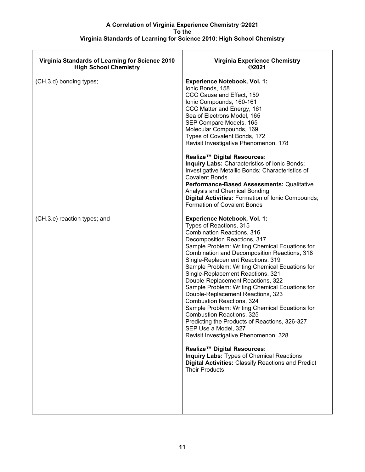| Virginia Standards of Learning for Science 2010<br><b>High School Chemistry</b> | Virginia Experience Chemistry<br>©2021                                                                                                                                                                                                                                                                                                                                                                                                                                                                                                                                                                                                                                                                                                                                                                                                                                                                                         |
|---------------------------------------------------------------------------------|--------------------------------------------------------------------------------------------------------------------------------------------------------------------------------------------------------------------------------------------------------------------------------------------------------------------------------------------------------------------------------------------------------------------------------------------------------------------------------------------------------------------------------------------------------------------------------------------------------------------------------------------------------------------------------------------------------------------------------------------------------------------------------------------------------------------------------------------------------------------------------------------------------------------------------|
| (CH.3.d) bonding types;                                                         | <b>Experience Notebook, Vol. 1:</b><br>Ionic Bonds, 158<br>CCC Cause and Effect, 159<br>Ionic Compounds, 160-161<br>CCC Matter and Energy, 161<br>Sea of Electrons Model, 165<br>SEP Compare Models, 165<br>Molecular Compounds, 169<br>Types of Covalent Bonds, 172<br>Revisit Investigative Phenomenon, 178<br>Realize™ Digital Resources:<br>Inquiry Labs: Characteristics of Ionic Bonds;<br>Investigative Metallic Bonds; Characteristics of<br><b>Covalent Bonds</b><br>Performance-Based Assessments: Qualitative<br>Analysis and Chemical Bonding<br>Digital Activities: Formation of Ionic Compounds;<br>Formation of Covalent Bonds                                                                                                                                                                                                                                                                                  |
| (CH.3.e) reaction types; and                                                    | <b>Experience Notebook, Vol. 1:</b><br>Types of Reactions, 315<br><b>Combination Reactions, 316</b><br>Decomposition Reactions, 317<br>Sample Problem: Writing Chemical Equations for<br>Combination and Decomposition Reactions, 318<br>Single-Replacement Reactions, 319<br>Sample Problem: Writing Chemical Equations for<br>Single-Replacement Reactions, 321<br>Double-Replacement Reactions, 322<br>Sample Problem: Writing Chemical Equations for<br>Double-Replacement Reactions, 323<br><b>Combustion Reactions, 324</b><br>Sample Problem: Writing Chemical Equations for<br><b>Combustion Reactions, 325</b><br>Predicting the Products of Reactions, 326-327<br>SEP Use a Model, 327<br>Revisit Investigative Phenomenon, 328<br>Realize <sup>™</sup> Digital Resources:<br><b>Inquiry Labs: Types of Chemical Reactions</b><br><b>Digital Activities: Classify Reactions and Predict</b><br><b>Their Products</b> |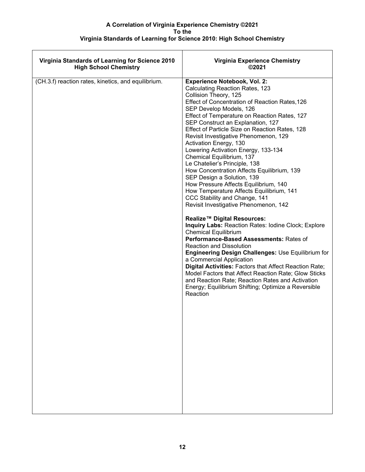| Virginia Standards of Learning for Science 2010     | <b>Virginia Experience Chemistry</b>                                                                                                                                                                                                                                                                                                                                                                                                                                                                                                                                                                                                                                                                                                                                                                                                                                                                                                                                                                                                                                                                                                                                                                                                                                        |
|-----------------------------------------------------|-----------------------------------------------------------------------------------------------------------------------------------------------------------------------------------------------------------------------------------------------------------------------------------------------------------------------------------------------------------------------------------------------------------------------------------------------------------------------------------------------------------------------------------------------------------------------------------------------------------------------------------------------------------------------------------------------------------------------------------------------------------------------------------------------------------------------------------------------------------------------------------------------------------------------------------------------------------------------------------------------------------------------------------------------------------------------------------------------------------------------------------------------------------------------------------------------------------------------------------------------------------------------------|
| <b>High School Chemistry</b>                        | ©2021                                                                                                                                                                                                                                                                                                                                                                                                                                                                                                                                                                                                                                                                                                                                                                                                                                                                                                                                                                                                                                                                                                                                                                                                                                                                       |
| (CH.3.f) reaction rates, kinetics, and equilibrium. | <b>Experience Notebook, Vol. 2:</b><br>Calculating Reaction Rates, 123<br>Collision Theory, 125<br>Effect of Concentration of Reaction Rates, 126<br>SEP Develop Models, 126<br>Effect of Temperature on Reaction Rates, 127<br>SEP Construct an Explanation, 127<br>Effect of Particle Size on Reaction Rates, 128<br>Revisit Investigative Phenomenon, 129<br>Activation Energy, 130<br>Lowering Activation Energy, 133-134<br>Chemical Equilibrium, 137<br>Le Chatelier's Principle, 138<br>How Concentration Affects Equilibrium, 139<br>SEP Design a Solution, 139<br>How Pressure Affects Equilibrium, 140<br>How Temperature Affects Equilibrium, 141<br>CCC Stability and Change, 141<br>Revisit Investigative Phenomenon, 142<br>Realize™ Digital Resources:<br>Inquiry Labs: Reaction Rates: Iodine Clock; Explore<br><b>Chemical Equilibrium</b><br>Performance-Based Assessments: Rates of<br><b>Reaction and Dissolution</b><br><b>Engineering Design Challenges: Use Equilibrium for</b><br>a Commercial Application<br>Digital Activities: Factors that Affect Reaction Rate;<br>Model Factors that Affect Reaction Rate; Glow Sticks<br>and Reaction Rate; Reaction Rates and Activation<br>Energy; Equilibrium Shifting; Optimize a Reversible<br>Reaction |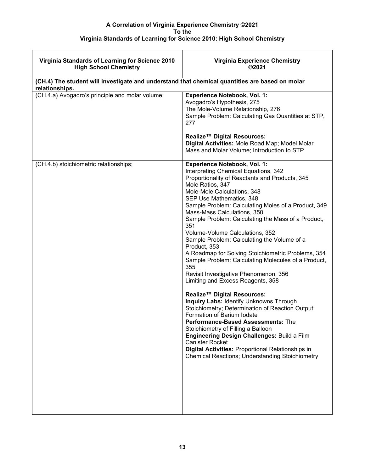| <b>Virginia Experience Chemistry</b><br>©2021                                                                                                                                                                                                                                                                                                                                                                                                                                                                                                                                                                                                                                                                                                                                                                                                                                                                                                                                                                                                                                                                   |
|-----------------------------------------------------------------------------------------------------------------------------------------------------------------------------------------------------------------------------------------------------------------------------------------------------------------------------------------------------------------------------------------------------------------------------------------------------------------------------------------------------------------------------------------------------------------------------------------------------------------------------------------------------------------------------------------------------------------------------------------------------------------------------------------------------------------------------------------------------------------------------------------------------------------------------------------------------------------------------------------------------------------------------------------------------------------------------------------------------------------|
| (CH.4) The student will investigate and understand that chemical quantities are based on molar                                                                                                                                                                                                                                                                                                                                                                                                                                                                                                                                                                                                                                                                                                                                                                                                                                                                                                                                                                                                                  |
| <b>Experience Notebook, Vol. 1:</b><br>Avogadro's Hypothesis, 275<br>The Mole-Volume Relationship, 276<br>Sample Problem: Calculating Gas Quantities at STP,<br>277<br>Realize™ Digital Resources:<br>Digital Activities: Mole Road Map; Model Molar<br>Mass and Molar Volume; Introduction to STP                                                                                                                                                                                                                                                                                                                                                                                                                                                                                                                                                                                                                                                                                                                                                                                                              |
| Experience Notebook, Vol. 1:<br>Interpreting Chemical Equations, 342<br>Proportionality of Reactants and Products, 345<br>Mole Ratios, 347<br>Mole-Mole Calculations, 348<br>SEP Use Mathematics, 348<br>Sample Problem: Calculating Moles of a Product, 349<br>Mass-Mass Calculations, 350<br>Sample Problem: Calculating the Mass of a Product,<br>351<br>Volume-Volume Calculations, 352<br>Sample Problem: Calculating the Volume of a<br>Product, 353<br>A Roadmap for Solving Stoichiometric Problems, 354<br>Sample Problem: Calculating Molecules of a Product,<br>355<br>Revisit Investigative Phenomenon, 356<br>Limiting and Excess Reagents, 358<br>Realize <sup>™</sup> Digital Resources:<br><b>Inquiry Labs: Identify Unknowns Through</b><br>Stoichiometry; Determination of Reaction Output;<br>Formation of Barium Iodate<br>Performance-Based Assessments: The<br>Stoichiometry of Filling a Balloon<br>Engineering Design Challenges: Build a Film<br><b>Canister Rocket</b><br>Digital Activities: Proportional Relationships in<br><b>Chemical Reactions; Understanding Stoichiometry</b> |
|                                                                                                                                                                                                                                                                                                                                                                                                                                                                                                                                                                                                                                                                                                                                                                                                                                                                                                                                                                                                                                                                                                                 |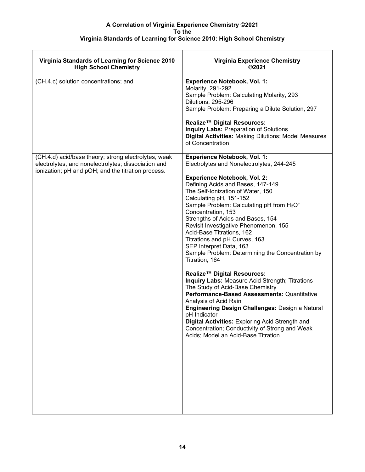| Virginia Standards of Learning for Science 2010<br><b>High School Chemistry</b>                                                                                   | Virginia Experience Chemistry<br>©2021                                                                                                                                                                                                                                                                                                                                                                                                                                                                                                                                                                                                                                                                                                                                                                                                                                                                                                                                                                 |
|-------------------------------------------------------------------------------------------------------------------------------------------------------------------|--------------------------------------------------------------------------------------------------------------------------------------------------------------------------------------------------------------------------------------------------------------------------------------------------------------------------------------------------------------------------------------------------------------------------------------------------------------------------------------------------------------------------------------------------------------------------------------------------------------------------------------------------------------------------------------------------------------------------------------------------------------------------------------------------------------------------------------------------------------------------------------------------------------------------------------------------------------------------------------------------------|
| (CH.4.c) solution concentrations; and                                                                                                                             | <b>Experience Notebook, Vol. 1:</b><br>Molarity, 291-292<br>Sample Problem: Calculating Molarity, 293<br>Dilutions, 295-296<br>Sample Problem: Preparing a Dilute Solution, 297<br>Realize <sup>™</sup> Digital Resources:<br><b>Inquiry Labs: Preparation of Solutions</b><br><b>Digital Activities: Making Dilutions; Model Measures</b><br>of Concentration                                                                                                                                                                                                                                                                                                                                                                                                                                                                                                                                                                                                                                         |
| (CH.4.d) acid/base theory; strong electrolytes, weak<br>electrolytes, and nonelectrolytes; dissociation and<br>ionization; pH and pOH; and the titration process. | <b>Experience Notebook, Vol. 1:</b><br>Electrolytes and Nonelectrolytes, 244-245<br><b>Experience Notebook, Vol. 2:</b><br>Defining Acids and Bases, 147-149<br>The Self-Ionization of Water, 150<br>Calculating pH, 151-152<br>Sample Problem: Calculating pH from H <sub>3</sub> O <sup>+</sup><br>Concentration, 153<br>Strengths of Acids and Bases, 154<br>Revisit Investigative Phenomenon, 155<br>Acid-Base Titrations, 162<br>Titrations and pH Curves, 163<br>SEP Interpret Data, 163<br>Sample Problem: Determining the Concentration by<br>Titration, 164<br>Realize <sup>™</sup> Digital Resources:<br>Inquiry Labs: Measure Acid Strength; Titrations -<br>The Study of Acid-Base Chemistry<br>Performance-Based Assessments: Quantitative<br>Analysis of Acid Rain<br><b>Engineering Design Challenges: Design a Natural</b><br>pH Indicator<br>Digital Activities: Exploring Acid Strength and<br>Concentration; Conductivity of Strong and Weak<br>Acids; Model an Acid-Base Titration |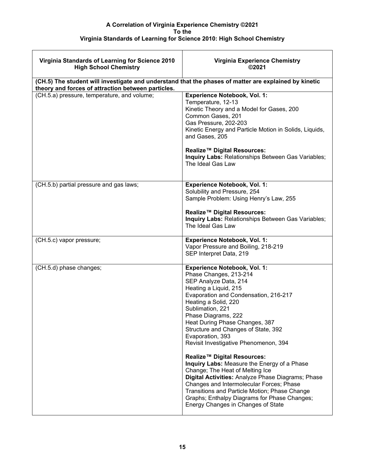| Virginia Standards of Learning for Science 2010<br><b>High School Chemistry</b>                                                                             | <b>Virginia Experience Chemistry</b><br>©2021                                                                                                                                                                                                                                                                                                                                                                                                                                                                                                                                                                                                                                                                              |
|-------------------------------------------------------------------------------------------------------------------------------------------------------------|----------------------------------------------------------------------------------------------------------------------------------------------------------------------------------------------------------------------------------------------------------------------------------------------------------------------------------------------------------------------------------------------------------------------------------------------------------------------------------------------------------------------------------------------------------------------------------------------------------------------------------------------------------------------------------------------------------------------------|
| (CH.5) The student will investigate and understand that the phases of matter are explained by kinetic<br>theory and forces of attraction between particles. |                                                                                                                                                                                                                                                                                                                                                                                                                                                                                                                                                                                                                                                                                                                            |
| (CH.5.a) pressure, temperature, and volume;                                                                                                                 | <b>Experience Notebook, Vol. 1:</b><br>Temperature, 12-13<br>Kinetic Theory and a Model for Gases, 200<br>Common Gases, 201<br>Gas Pressure, 202-203<br>Kinetic Energy and Particle Motion in Solids, Liquids,<br>and Gases, 205<br>Realize™ Digital Resources:<br>Inquiry Labs: Relationships Between Gas Variables;<br>The Ideal Gas Law                                                                                                                                                                                                                                                                                                                                                                                 |
| (CH.5.b) partial pressure and gas laws;                                                                                                                     | <b>Experience Notebook, Vol. 1:</b><br>Solubility and Pressure, 254<br>Sample Problem: Using Henry's Law, 255<br>Realize <sup>™</sup> Digital Resources:<br>Inquiry Labs: Relationships Between Gas Variables;<br>The Ideal Gas Law                                                                                                                                                                                                                                                                                                                                                                                                                                                                                        |
| (CH.5.c) vapor pressure;                                                                                                                                    | <b>Experience Notebook, Vol. 1:</b><br>Vapor Pressure and Boiling, 218-219<br>SEP Interpret Data, 219                                                                                                                                                                                                                                                                                                                                                                                                                                                                                                                                                                                                                      |
| (CH.5.d) phase changes;                                                                                                                                     | <b>Experience Notebook, Vol. 1:</b><br>Phase Changes, 213-214<br>SEP Analyze Data, 214<br>Heating a Liquid, 215<br>Evaporation and Condensation, 216-217<br>Heating a Solid, 220<br>Sublimation, 221<br>Phase Diagrams, 222<br>Heat During Phase Changes, 387<br>Structure and Changes of State, 392<br>Evaporation, 393<br>Revisit Investigative Phenomenon, 394<br>Realize™ Digital Resources:<br>Inquiry Labs: Measure the Energy of a Phase<br>Change; The Heat of Melting Ice<br>Digital Activities: Analyze Phase Diagrams; Phase<br>Changes and Intermolecular Forces; Phase<br>Transitions and Particle Motion; Phase Change<br>Graphs; Enthalpy Diagrams for Phase Changes;<br>Energy Changes in Changes of State |